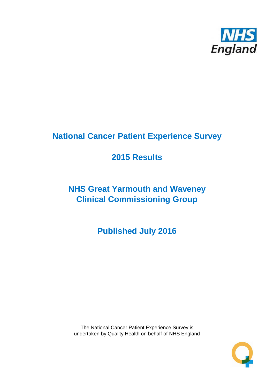

# **National Cancer Patient Experience Survey**

# **2015 Results**

# **NHS Great Yarmouth and Waveney Clinical Commissioning Group**

**Published July 2016**

The National Cancer Patient Experience Survey is undertaken by Quality Health on behalf of NHS England

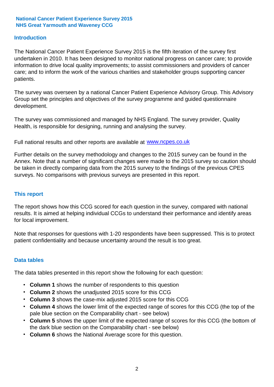### **Introduction**

The National Cancer Patient Experience Survey 2015 is the fifth iteration of the survey first undertaken in 2010. It has been designed to monitor national progress on cancer care; to provide information to drive local quality improvements; to assist commissioners and providers of cancer care; and to inform the work of the various charities and stakeholder groups supporting cancer patients.

The survey was overseen by a national Cancer Patient Experience Advisory Group. This Advisory Group set the principles and objectives of the survey programme and guided questionnaire development.

The survey was commissioned and managed by NHS England. The survey provider, Quality Health, is responsible for designing, running and analysing the survey.

Full national results and other reports are available at www.ncpes.co.uk

Further details on the survey methodology and changes to the 2015 survey can be found in the Annex. Note that a number of significant changes were made to the 2015 survey so caution should be taken in directly comparing data from the 2015 survey to the findings of the previous CPES surveys. No comparisons with previous surveys are presented in this report.

### **This report**

The report shows how this CCG scored for each question in the survey, compared with national results. It is aimed at helping individual CCGs to understand their performance and identify areas for local improvement.

Note that responses for questions with 1-20 respondents have been suppressed. This is to protect patient confidentiality and because uncertainty around the result is too great.

### **Data tables**

The data tables presented in this report show the following for each question:

- **Column 1** shows the number of respondents to this question
- **Column 2** shows the unadjusted 2015 score for this CCG
- **Column 3** shows the case-mix adjusted 2015 score for this CCG
- **Column 4** shows the lower limit of the expected range of scores for this CCG (the top of the pale blue section on the Comparability chart - see below)
- **Column 5** shows the upper limit of the expected range of scores for this CCG (the bottom of the dark blue section on the Comparability chart - see below)
- **Column 6** shows the National Average score for this question.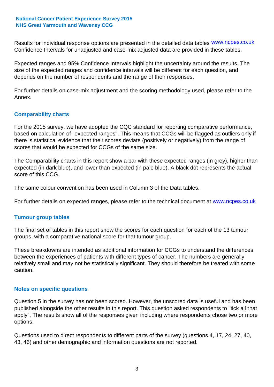Results for individual response options are presented in the detailed data tables **WWW.ncpes.co.uk** Confidence Intervals for unadjusted and case-mix adjusted data are provided in these tables.

Expected ranges and 95% Confidence Intervals highlight the uncertainty around the results. The size of the expected ranges and confidence intervals will be different for each question, and depends on the number of respondents and the range of their responses.

For further details on case-mix adjustment and the scoring methodology used, please refer to the Annex.

### **Comparability charts**

For the 2015 survey, we have adopted the CQC standard for reporting comparative performance, based on calculation of "expected ranges". This means that CCGs will be flagged as outliers only if there is statistical evidence that their scores deviate (positively or negatively) from the range of scores that would be expected for CCGs of the same size.

The Comparability charts in this report show a bar with these expected ranges (in grey), higher than expected (in dark blue), and lower than expected (in pale blue). A black dot represents the actual score of this CCG.

The same colour convention has been used in Column 3 of the Data tables.

For further details on expected ranges, please refer to the technical document at **www.ncpes.co.uk** 

### **Tumour group tables**

The final set of tables in this report show the scores for each question for each of the 13 tumour groups, with a comparative national score for that tumour group.

These breakdowns are intended as additional information for CCGs to understand the differences between the experiences of patients with different types of cancer. The numbers are generally relatively small and may not be statistically significant. They should therefore be treated with some caution.

### **Notes on specific questions**

Question 5 in the survey has not been scored. However, the unscored data is useful and has been published alongside the other results in this report. This question asked respondents to "tick all that apply". The results show all of the responses given including where respondents chose two or more options.

Questions used to direct respondents to different parts of the survey (questions 4, 17, 24, 27, 40, 43, 46) and other demographic and information questions are not reported.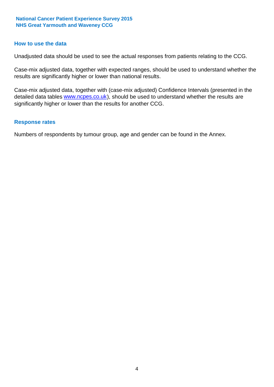### **How to use the data**

Unadjusted data should be used to see the actual responses from patients relating to the CCG.

Case-mix adjusted data, together with expected ranges, should be used to understand whether the results are significantly higher or lower than national results.

Case-mix adjusted data, together with (case-mix adjusted) Confidence Intervals (presented in the detailed data tables **www.ncpes.co.uk**), should be used to understand whether the results are significantly higher or lower than the results for another CCG.

#### **Response rates**

Numbers of respondents by tumour group, age and gender can be found in the Annex.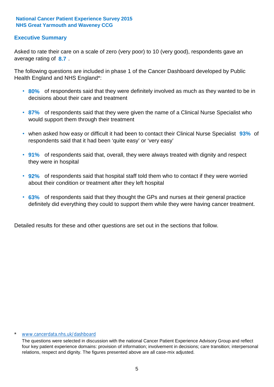# **Executive Summary**

average rating of 8.7. Asked to rate their care on a scale of zero (very poor) to 10 (very good), respondents gave an

The following questions are included in phase 1 of the Cancer Dashboard developed by Public Health England and NHS England\*:

- **80%** of respondents said that they were definitely involved as much as they wanted to be in decisions about their care and treatment
- **87%** of respondents said that they were given the name of a Clinical Nurse Specialist who would support them through their treatment
- when asked how easy or difficult it had been to contact their Clinical Nurse Specialist 93% of respondents said that it had been 'quite easy' or 'very easy'
- **91%** of respondents said that, overall, they were always treated with dignity and respect they were in hospital
- **92%** of respondents said that hospital staff told them who to contact if they were worried about their condition or treatment after they left hospital
- **63%** of respondents said that they thought the GPs and nurses at their general practice definitely did everything they could to support them while they were having cancer treatment.

Detailed results for these and other questions are set out in the sections that follow.

#### \* www.cancerdata.nhs.uk/dashboard

The questions were selected in discussion with the national Cancer Patient Experience Advisory Group and reflect four key patient experience domains: provision of information; involvement in decisions; care transition; interpersonal relations, respect and dignity. The figures presented above are all case-mix adjusted.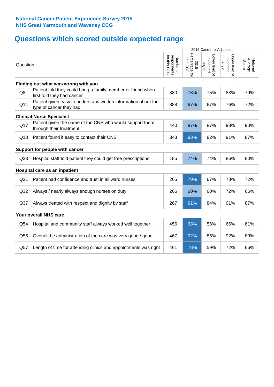# **Questions which scored outside expected range**

|                 |                                                                                            |                                          | 2015 Case-mix Adjusted             |                                     |                                     |                              |
|-----------------|--------------------------------------------------------------------------------------------|------------------------------------------|------------------------------------|-------------------------------------|-------------------------------------|------------------------------|
| Question        |                                                                                            | respondents<br>for this CCG<br>Number of | Percentage for<br>this CCG<br>2015 | Lower limit of<br>expected<br>range | Upper limit of<br>expected<br>range | Average<br>National<br>Score |
|                 | Finding out what was wrong with you                                                        |                                          |                                    |                                     |                                     |                              |
| Q8              | Patient told they could bring a family member or friend when<br>first told they had cancer | 380                                      | 73%                                | 75%                                 | 83%                                 | 79%                          |
| Q11             | Patient given easy to understand written information about the<br>type of cancer they had  | 388                                      | 67%                                | 67%                                 | 76%                                 | 72%                          |
|                 | <b>Clinical Nurse Specialist</b>                                                           |                                          |                                    |                                     |                                     |                              |
| Q17             | Patient given the name of the CNS who would support them<br>through their treatment        | 440                                      | 87%                                | 87%                                 | 93%                                 | 90%                          |
| Q18             | Patient found it easy to contact their CNS                                                 | 343                                      | 93%                                | 82%                                 | 91%                                 | 87%                          |
|                 | Support for people with cancer                                                             |                                          |                                    |                                     |                                     |                              |
| Q <sub>23</sub> | Hospital staff told patient they could get free prescriptions                              | 185                                      | 74%                                | 74%                                 | 86%                                 | 80%                          |
|                 | Hospital care as an inpatient                                                              |                                          |                                    |                                     |                                     |                              |
| Q31             | Patient had confidence and trust in all ward nurses                                        | 265                                      | 79%                                | 67%                                 | 78%                                 | 72%                          |
| Q32             | Always / nearly always enough nurses on duty                                               | 266                                      | 60%                                | 60%                                 | 72%                                 | 66%                          |
| Q <sub>37</sub> | Always treated with respect and dignity by staff                                           | 267                                      | 91%                                | 84%                                 | 91%                                 | 87%                          |
|                 | Your overall NHS care                                                                      |                                          |                                    |                                     |                                     |                              |
| Q54             | Hospital and community staff always worked well together                                   | 456                                      | 68%                                | 56%                                 | 66%                                 | 61%                          |
| Q56             | Overall the administration of the care was very good / good                                | 467                                      | 92%                                | 86%                                 | 92%                                 | 89%                          |
| Q57             | Length of time for attending clinics and appointments was right                            | 461                                      | 78%                                | 59%                                 | 72%                                 | 66%                          |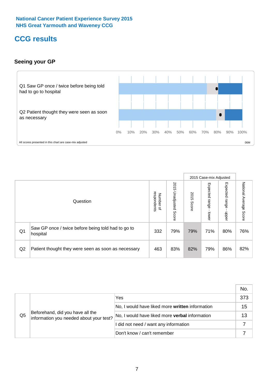# **CCG results**

# **Seeing your GP**



|    |                                                                |                                              |                             |               | 2015 Case-mix Adjusted     |                            |                           |
|----|----------------------------------------------------------------|----------------------------------------------|-----------------------------|---------------|----------------------------|----------------------------|---------------------------|
|    | Question                                                       | respondents<br>Number<br>$\overline{\sigma}$ | 2015<br>Unadjusted<br>Score | 2015<br>Score | Expected<br>range<br>lower | Expected<br>range<br>nbber | National Average<br>Score |
| Q1 | Saw GP once / twice before being told had to go to<br>hospital | 332                                          | 79%                         | 79%           | 71%                        | 80%                        | 76%                       |
| Q2 | Patient thought they were seen as soon as necessary            | 463                                          | 83%                         | 82%           | 79%                        | 86%                        | 82%                       |

|    |                                                                             |                                                 | No. |
|----|-----------------------------------------------------------------------------|-------------------------------------------------|-----|
|    | Beforehand, did you have all the<br>information you needed about your test? | Yes                                             | 373 |
|    |                                                                             | No, I would have liked more written information | 15  |
| Q5 |                                                                             | No, I would have liked more verbal information  | 13  |
|    |                                                                             | I did not need / want any information           |     |
|    |                                                                             | Don't know / can't remember                     |     |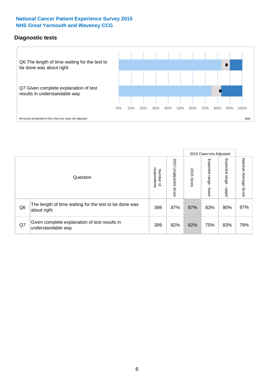# **Diagnostic tests**



|                |                                                                       |                                       |                             |               | 2015 Case-mix Adjusted  |                              |                           |
|----------------|-----------------------------------------------------------------------|---------------------------------------|-----------------------------|---------------|-------------------------|------------------------------|---------------------------|
|                | Question                                                              | respondents<br>Number<br>$\mathbf{Q}$ | 2015<br>Unadjusted<br>Score | 2015<br>Score | Expected range<br>lower | Expected<br>l range<br>doper | National Average<br>Score |
| Q <sub>6</sub> | The length of time waiting for the test to be done was<br>about right | 398                                   | 87%                         | 87%           | 83%                     | 90%                          | 87%                       |
| Q7             | Given complete explanation of test results in<br>understandable way   | 399                                   | 82%                         | 82%           | 75%                     | 83%                          | 79%                       |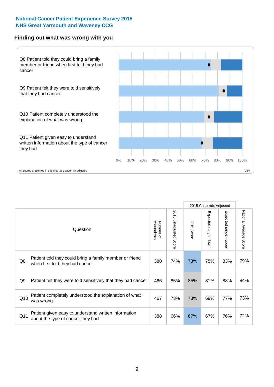### **Finding out what was wrong with you**



|                 |                                                                                            |                          |                       |               | 2015 Case-mix Adjusted |                           |                        |
|-----------------|--------------------------------------------------------------------------------------------|--------------------------|-----------------------|---------------|------------------------|---------------------------|------------------------|
|                 | Question                                                                                   | respondents<br>Number of | 2015 Unadjusted Score | 2015<br>Score | Expected range - lower | Expected range<br>- nbbel | National Average Score |
| Q8              | Patient told they could bring a family member or friend<br>when first told they had cancer | 380                      | 74%                   | 73%           | 75%                    | 83%                       | 79%                    |
| Q9              | Patient felt they were told sensitively that they had cancer                               | 466                      | 85%                   | 85%           | 81%                    | 88%                       | 84%                    |
| Q10             | Patient completely understood the explanation of what<br>was wrong                         | 467                      | 73%                   | 73%           | 69%                    | 77%                       | 73%                    |
| Q <sub>11</sub> | Patient given easy to understand written information<br>about the type of cancer they had  | 388                      | 66%                   | 67%           | 67%                    | 76%                       | 72%                    |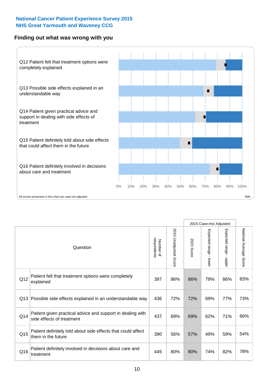# **Finding out what was wrong with you**



|          |                                                                                         |                          |                                 |               | 2015 Case-mix Adjusted                  |                           |                        |
|----------|-----------------------------------------------------------------------------------------|--------------------------|---------------------------------|---------------|-----------------------------------------|---------------------------|------------------------|
| Question |                                                                                         | respondents<br>Number of | 2015<br><b>Unadjusted Score</b> | 2015<br>Score | Expected range<br>$\mathbf{r}$<br>lower | Expected range<br>- nbbeu | National Average Score |
| Q12      | Patient felt that treatment options were completely<br>explained                        | 397                      | 86%                             | 86%           | 79%                                     | 86%                       | 83%                    |
| Q13      | Possible side effects explained in an understandable way                                | 436                      | 72%                             | 72%           | 69%                                     | 77%                       | 73%                    |
| Q14      | Patient given practical advice and support in dealing with<br>side effects of treatment | 437                      | 69%                             | 69%           | 62%                                     | 71%                       | 66%                    |
| Q15      | Patient definitely told about side effects that could affect<br>them in the future      | 390                      | 56%                             | 57%           | 49%                                     | 59%                       | 54%                    |
| Q16      | Patient definitely involved in decisions about care and<br>treatment                    | 445                      | 80%                             | 80%           | 74%                                     | 82%                       | 78%                    |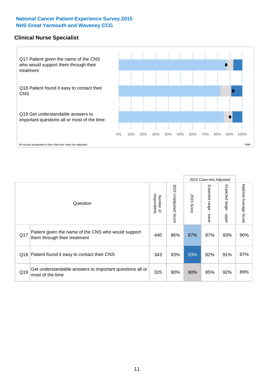# **Clinical Nurse Specialist**



|     |                                                                                     |                          |                       |               | 2015 Case-mix Adjusted  |                         |                                  |
|-----|-------------------------------------------------------------------------------------|--------------------------|-----------------------|---------------|-------------------------|-------------------------|----------------------------------|
|     | Question                                                                            | Number of<br>respondents | 2015 Unadjusted Score | 2015<br>Score | Expected range<br>lower | Expected range<br>nbber | National Average<br><b>Score</b> |
| Q17 | Patient given the name of the CNS who would support<br>them through their treatment | 440                      | 86%                   | 87%           | 87%                     | 93%                     | 90%                              |
| Q18 | Patient found it easy to contact their CNS                                          | 343                      | 93%                   | 93%           | 82%                     | 91%                     | 87%                              |
| Q19 | Get understandable answers to important questions all or<br>most of the time        | 325                      | 90%                   | 90%           | 85%                     | 92%                     | 89%                              |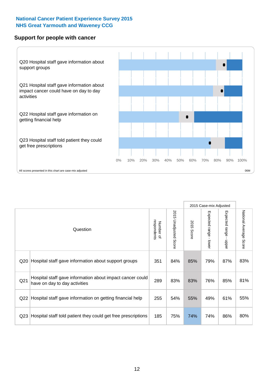### **Support for people with cancer**



|                 |                                                                                            |                          |                                 |               | 2015 Case-mix Adjusted |                                         |                           |
|-----------------|--------------------------------------------------------------------------------------------|--------------------------|---------------------------------|---------------|------------------------|-----------------------------------------|---------------------------|
|                 | Question                                                                                   | respondents<br>Number of | 2015<br><b>Unadjusted Score</b> | 2015<br>Score | Expected range - lower | Expected range<br>$\mathbf{r}$<br>nbber | National Average<br>Score |
| Q20             | Hospital staff gave information about support groups                                       | 351                      | 84%                             | 85%           | 79%                    | 87%                                     | 83%                       |
| Q21             | Hospital staff gave information about impact cancer could<br>have on day to day activities | 289                      | 83%                             | 83%           | 76%                    | 85%                                     | 81%                       |
| Q22             | Hospital staff gave information on getting financial help                                  | 255                      | 54%                             | 55%           | 49%                    | 61%                                     | 55%                       |
| Q <sub>23</sub> | Hospital staff told patient they could get free prescriptions                              | 185                      | 75%                             | 74%           | 74%                    | 86%                                     | 80%                       |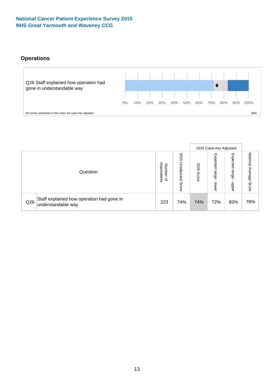# **Operations**



|     |                                                                 |                                              |                             |               | 2015 Case-mix Adjusted     |                           |                              |
|-----|-----------------------------------------------------------------|----------------------------------------------|-----------------------------|---------------|----------------------------|---------------------------|------------------------------|
|     | Question                                                        | respondents<br>Number<br>$\overline{\sigma}$ | 2015<br>Unadjusted<br>Score | 2015<br>Score | Expected<br>range<br>lower | Expected<br>range<br>dddn | National<br>Average<br>Score |
| Q26 | Staff explained how operation had gone in<br>understandable way | 223                                          | 74%                         | 74%           | 72%                        | 83%                       | 78%                          |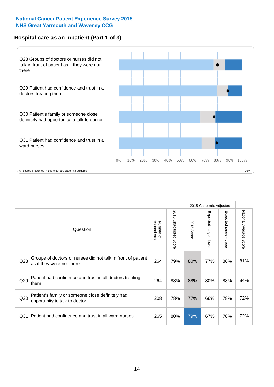# **Hospital care as an inpatient (Part 1 of 3)**



All scores presented in this chart are case-mix adjusted  $06M$ 

|                 |                                                                                           |                          |                          |                      | 2015 Case-mix Adjusted                  |                                       |                        |
|-----------------|-------------------------------------------------------------------------------------------|--------------------------|--------------------------|----------------------|-----------------------------------------|---------------------------------------|------------------------|
|                 | Question                                                                                  | respondents<br>Number of | 2015<br>Unadjusted Score | 2015<br><b>Score</b> | Expected range<br>$\mathbf{I}$<br>lower | Expected range<br>$\mathbf{I}$<br>ddo | National Average Score |
| Q28             | Groups of doctors or nurses did not talk in front of patient<br>as if they were not there | 264                      | 79%                      | 80%                  | 77%                                     | 86%                                   | 81%                    |
| Q29             | Patient had confidence and trust in all doctors treating<br>them                          | 264                      | 88%                      | 88%                  | 80%                                     | 88%                                   | 84%                    |
| Q30             | Patient's family or someone close definitely had<br>opportunity to talk to doctor         | 208                      | 78%                      | 77%                  | 66%                                     | 78%                                   | 72%                    |
| Q <sub>31</sub> | Patient had confidence and trust in all ward nurses                                       | 265                      | 80%                      | 79%                  | 67%                                     | 78%                                   | 72%                    |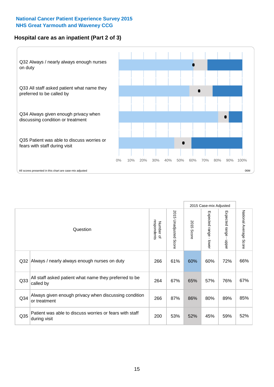# **Hospital care as an inpatient (Part 2 of 3)**



|                 |                                                                         |                          |                                 |               | 2015 Case-mix Adjusted  |                           |                        |
|-----------------|-------------------------------------------------------------------------|--------------------------|---------------------------------|---------------|-------------------------|---------------------------|------------------------|
|                 | Question                                                                | respondents<br>Number of | 2015<br><b>Unadjusted Score</b> | 2015<br>Score | Expected range<br>lower | Expected range<br>- nbbeu | National Average Score |
| Q32             | Always / nearly always enough nurses on duty                            | 266                      | 61%                             | 60%           | 60%                     | 72%                       | 66%                    |
| Q33             | All staff asked patient what name they preferred to be<br>called by     | 264                      | 67%                             | 65%           | 57%                     | 76%                       | 67%                    |
| Q34             | Always given enough privacy when discussing condition<br>or treatment   | 266                      | 87%                             | 86%           | 80%                     | 89%                       | 85%                    |
| Q <sub>35</sub> | Patient was able to discuss worries or fears with staff<br>during visit | 200                      | 53%                             | 52%           | 45%                     | 59%                       | 52%                    |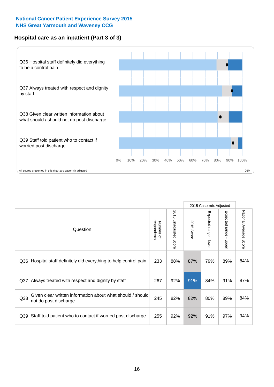# **Hospital care as an inpatient (Part 3 of 3)**



|                 |                                                                                     |                          |                                 |               | 2015 Case-mix Adjusted                    |                           |                        |
|-----------------|-------------------------------------------------------------------------------------|--------------------------|---------------------------------|---------------|-------------------------------------------|---------------------------|------------------------|
|                 | Question                                                                            | Number of<br>respondents | 2015<br><b>Unadjusted Score</b> | 2015<br>Score | Expected range<br>$\blacksquare$<br>lower | Expected range -<br>nbber | National Average Score |
| Q36             | Hospital staff definitely did everything to help control pain                       | 233                      | 88%                             | 87%           | 79%                                       | 89%                       | 84%                    |
| Q <sub>37</sub> | Always treated with respect and dignity by staff                                    | 267                      | 92%                             | 91%           | 84%                                       | 91%                       | 87%                    |
| Q38             | Given clear written information about what should / should<br>not do post discharge | 245                      | 82%                             | 82%           | 80%                                       | 89%                       | 84%                    |
| Q39             | Staff told patient who to contact if worried post discharge                         | 255                      | 92%                             | 92%           | 91%                                       | 97%                       | 94%                    |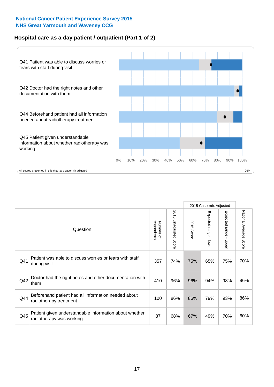# **Hospital care as a day patient / outpatient (Part 1 of 2)**



|     |                                                                                    |                          |                                 | 2015 Case-mix Adjusted |                                         |                           |                        |
|-----|------------------------------------------------------------------------------------|--------------------------|---------------------------------|------------------------|-----------------------------------------|---------------------------|------------------------|
|     | Question                                                                           | respondents<br>Number of | 2015<br><b>Unadjusted Score</b> | 2015<br>Score          | Expected range<br>$\mathbf{r}$<br>lower | Expected range -<br>nbber | National Average Score |
| Q41 | Patient was able to discuss worries or fears with staff<br>during visit            | 357                      | 74%                             | 75%                    | 65%                                     | 75%                       | 70%                    |
| Q42 | Doctor had the right notes and other documentation with<br>them                    | 410                      | 96%                             | 96%                    | 94%                                     | 98%                       | 96%                    |
| Q44 | Beforehand patient had all information needed about<br>radiotherapy treatment      | 100                      | 86%                             | 86%                    | 79%                                     | 93%                       | 86%                    |
| Q45 | Patient given understandable information about whether<br>radiotherapy was working | 87                       | 68%                             | 67%                    | 49%                                     | 70%                       | 60%                    |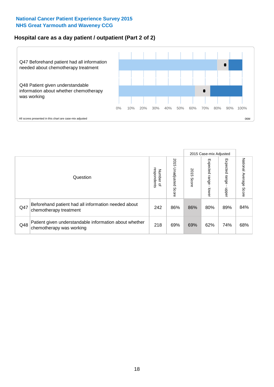# **Hospital care as a day patient / outpatient (Part 2 of 2)**



|     |                                                                                    |                                       |                             | 2015 Case-mix Adjusted |                              |                         |                           |
|-----|------------------------------------------------------------------------------------|---------------------------------------|-----------------------------|------------------------|------------------------------|-------------------------|---------------------------|
|     | Question                                                                           | respondents<br>Number<br>$\mathbf{Q}$ | 2015<br>Unadjusted<br>Score | 2015<br>Score          | Expected<br>I range<br>lower | Expected range<br>doper | National Average<br>Score |
| Q47 | Beforehand patient had all information needed about<br>chemotherapy treatment      | 242                                   | 86%                         | 86%                    | 80%                          | 89%                     | 84%                       |
| Q48 | Patient given understandable information about whether<br>chemotherapy was working | 218                                   | 69%                         | 69%                    | 62%                          | 74%                     | 68%                       |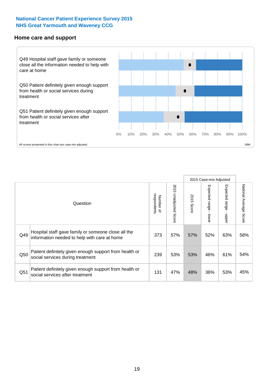#### **Home care and support**



|     |                                                                                                     |                          |                          |               | 2015 Case-mix Adjusted       |                         |                        |
|-----|-----------------------------------------------------------------------------------------------------|--------------------------|--------------------------|---------------|------------------------------|-------------------------|------------------------|
|     | Question                                                                                            | respondents<br>Number of | 2015 Unadjusted<br>Score | 2015<br>Score | Expected<br>I range<br>lower | Expected range<br>nbber | National Average Score |
| Q49 | Hospital staff gave family or someone close all the<br>information needed to help with care at home | 373                      | 57%                      | 57%           | 52%                          | 63%                     | 58%                    |
| Q50 | Patient definitely given enough support from health or<br>social services during treatment          | 239                      | 53%                      | 53%           | 46%                          | 61%                     | 54%                    |
| Q51 | Patient definitely given enough support from health or<br>social services after treatment           | 131                      | 47%                      | 48%           | 36%                          | 53%                     | 45%                    |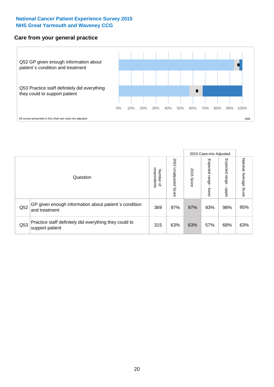### **Care from your general practice**



|     |                                                                           |                                       |                             | 2015 Case-mix Adjusted |                              |                         |                           |
|-----|---------------------------------------------------------------------------|---------------------------------------|-----------------------------|------------------------|------------------------------|-------------------------|---------------------------|
|     | Question                                                                  | respondents<br>Number<br>$\mathbf{Q}$ | 2015<br>Unadjusted<br>Score | 2015<br>Score          | Expected<br>I range<br>lower | Expected range<br>doper | National Average<br>Score |
| Q52 | GP given enough information about patient's condition<br>and treatment    | 369                                   | 97%                         | 97%                    | 93%                          | 98%                     | 95%                       |
| Q53 | Practice staff definitely did everything they could to<br>support patient | 315                                   | 63%                         | 63%                    | 57%                          | 68%                     | 63%                       |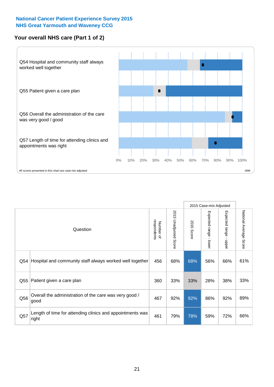# **Your overall NHS care (Part 1 of 2)**



|     |                                                                    |                          |                                 | 2015 Case-mix Adjusted |                         |                                           |                        |
|-----|--------------------------------------------------------------------|--------------------------|---------------------------------|------------------------|-------------------------|-------------------------------------------|------------------------|
|     | Question                                                           | respondents<br>Number of | 2015<br><b>Unadjusted Score</b> | 2015<br><b>Score</b>   | Expected range<br>lower | Expected range<br>$\blacksquare$<br>nbber | National Average Score |
| Q54 | Hospital and community staff always worked well together           | 456                      | 68%                             | 68%                    | 56%                     | 66%                                       | 61%                    |
| Q55 | Patient given a care plan                                          | 360                      | 33%                             | 33%                    | 28%                     | 38%                                       | 33%                    |
| Q56 | Overall the administration of the care was very good /<br>good     | 467                      | 92%                             | 92%                    | 86%                     | 92%                                       | 89%                    |
| Q57 | Length of time for attending clinics and appointments was<br>right | 461                      | 79%                             | 78%                    | 59%                     | 72%                                       | 66%                    |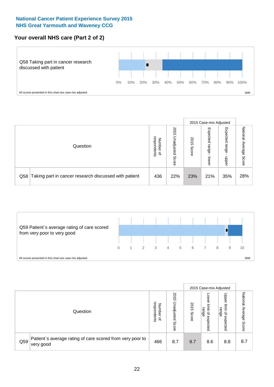# **Your overall NHS care (Part 2 of 2)**



|     |                                                       |                                         |                             |               |                            | 2015 Case-mix Adjusted     |                           |
|-----|-------------------------------------------------------|-----------------------------------------|-----------------------------|---------------|----------------------------|----------------------------|---------------------------|
|     | Question                                              | respondents<br>Number<br>$\overline{a}$ | 2015<br>Unadjusted<br>Score | 2015<br>Score | Expected<br>range<br>lower | Expected<br>range<br>doper | National<br>Average Score |
| Q58 | Taking part in cancer research discussed with patient | 436                                     | 22%                         | 23%           | 21%                        | 35%                        | 28%                       |



|     |                                                                        |                                              |                             |               | 2015 Case-mix Adjusted                  |                                                       |                              |
|-----|------------------------------------------------------------------------|----------------------------------------------|-----------------------------|---------------|-----------------------------------------|-------------------------------------------------------|------------------------------|
|     | Question                                                               | respondents<br>Number<br>$\overline{\sigma}$ | 2015<br>Jnadjusted<br>Score | 2015<br>Score | OWer<br>limit<br>range<br>٩<br>expected | Upper<br>limit<br>range<br>$\overline{a}$<br>expected | National<br>Average<br>Score |
| Q59 | Patient's average rating of care scored from very poor to<br>very good | 466                                          | 8.7                         | 8.7           | 8.6                                     | 8.8                                                   | 8.7                          |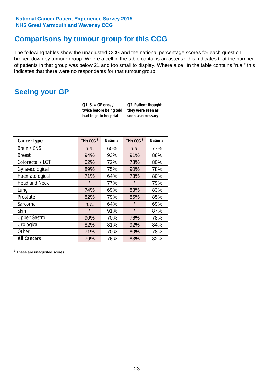# **Comparisons by tumour group for this CCG**

The following tables show the unadjusted CCG and the national percentage scores for each question broken down by tumour group. Where a cell in the table contains an asterisk this indicates that the number of patients in that group was below 21 and too small to display. Where a cell in the table contains "n.a." this indicates that there were no respondents for that tumour group.

# **Seeing your GP**

|                      | Q1. Saw GP once /<br>had to go to hospital | twice before being told | Q2. Patient thought<br>they were seen as<br>soon as necessary |                 |  |
|----------------------|--------------------------------------------|-------------------------|---------------------------------------------------------------|-----------------|--|
| <b>Cancer type</b>   | This CCG <sup>\$</sup>                     | <b>National</b>         | This CCG <sup>\$</sup>                                        | <b>National</b> |  |
| Brain / CNS          | n.a.                                       | 60%                     | n.a.                                                          | 77%             |  |
| <b>Breast</b>        | 94%                                        | 93%                     | 91%                                                           | 88%             |  |
| Colorectal / LGT     | 62%                                        | 72%                     | 73%                                                           | 80%             |  |
| Gynaecological       | 89%                                        | 75%                     | 90%                                                           | 78%             |  |
| Haematological       | 71%                                        | 64%                     | 73%                                                           | 80%             |  |
| <b>Head and Neck</b> | $\star$                                    | 77%                     | $\star$                                                       | 79%             |  |
| Lung                 | 74%                                        | 69%                     | 83%                                                           | 83%             |  |
| Prostate             | 82%                                        | 79%                     | 85%                                                           | 85%             |  |
| Sarcoma              | n.a.                                       | 64%                     | $\star$                                                       | 69%             |  |
| Skin                 | $\star$                                    | 91%                     | $\star$                                                       | 87%             |  |
| <b>Upper Gastro</b>  | 90%                                        | 70%                     | 76%                                                           | 78%             |  |
| Urological           | 82%                                        | 81%                     | 92%                                                           | 84%             |  |
| Other                | 71%                                        | 70%                     | 80%                                                           | 78%             |  |
| <b>All Cancers</b>   | 79%                                        | 76%                     | 83%                                                           | 82%             |  |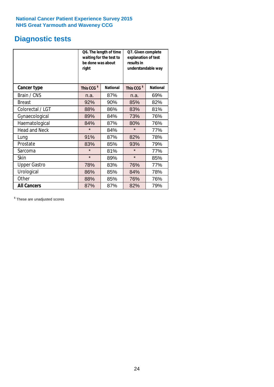# **Diagnostic tests**

|                      | be done was about<br>right | Q6. The length of time<br>waiting for the test to | Q7. Given complete<br>explanation of test<br>results in<br>understandable way |                 |  |
|----------------------|----------------------------|---------------------------------------------------|-------------------------------------------------------------------------------|-----------------|--|
| <b>Cancer type</b>   | This CCG <sup>\$</sup>     | <b>National</b>                                   | This CCG <sup>\$</sup>                                                        | <b>National</b> |  |
| Brain / CNS          | n.a.                       | 87%                                               | n.a.                                                                          | 69%             |  |
| <b>Breast</b>        | 92%                        | 90%                                               | 85%                                                                           | 82%             |  |
| Colorectal / LGT     | 88%                        | 86%                                               | 83%                                                                           | 81%             |  |
| Gynaecological       | 89%                        | 84%                                               | 73%                                                                           | 76%             |  |
| Haematological       | 84%                        | 87%                                               | 80%                                                                           | 76%             |  |
| <b>Head and Neck</b> | $\star$                    | 84%                                               | $\star$                                                                       | 77%             |  |
| Lung                 | 91%                        | 87%                                               | 82%                                                                           | 78%             |  |
| Prostate             | 83%                        | 85%                                               | 93%                                                                           | 79%             |  |
| Sarcoma              | $\star$                    | 81%                                               | $\star$                                                                       | 77%             |  |
| Skin                 | $\star$                    | 89%                                               | $\star$                                                                       | 85%             |  |
| <b>Upper Gastro</b>  | 78%                        | 83%                                               | 76%                                                                           | 77%             |  |
| Urological           | 86%                        | 85%                                               | 84%                                                                           | 78%             |  |
| Other                | 88%                        | 85%                                               | 76%                                                                           | 76%             |  |
| <b>All Cancers</b>   | 87%                        | 87%                                               | 82%                                                                           | 79%             |  |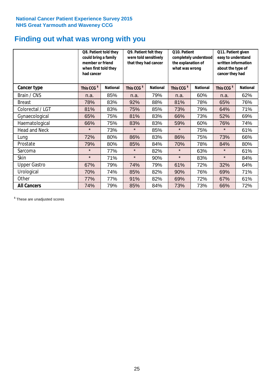# **Finding out what was wrong with you**

|                      | Q8. Patient told they<br>could bring a family<br>member or friend<br>when first told they<br>had cancer |                 | Q9. Patient felt they<br>were told sensitively<br>that they had cancer |                 | Q10. Patient<br>completely understood<br>the explanation of<br>what was wrong |                 | Q11. Patient given<br>easy to understand<br>written information<br>about the type of<br>cancer they had |                 |
|----------------------|---------------------------------------------------------------------------------------------------------|-----------------|------------------------------------------------------------------------|-----------------|-------------------------------------------------------------------------------|-----------------|---------------------------------------------------------------------------------------------------------|-----------------|
| Cancer type          | This CCG <sup>\$</sup>                                                                                  | <b>National</b> | This CCG <sup>\$</sup>                                                 | <b>National</b> | This CCG <sup>\$</sup>                                                        | <b>National</b> | This CCG <sup>\$</sup>                                                                                  | <b>National</b> |
| Brain / CNS          | n.a.                                                                                                    | 85%             | n.a.                                                                   | 79%             | n.a.                                                                          | 60%             | n.a.                                                                                                    | 62%             |
| <b>Breast</b>        | 78%                                                                                                     | 83%             | 92%                                                                    | 88%             | 81%                                                                           | 78%             | 65%                                                                                                     | 76%             |
| Colorectal / LGT     | 81%                                                                                                     | 83%             | 75%                                                                    | 85%             | 73%                                                                           | 79%             | 64%                                                                                                     | 71%             |
| Gynaecological       | 65%                                                                                                     | 75%             | 81%                                                                    | 83%             | 66%                                                                           | 73%             | 52%                                                                                                     | 69%             |
| Haematological       | 66%                                                                                                     | 75%             | 83%                                                                    | 83%             | 59%                                                                           | 60%             | 76%                                                                                                     | 74%             |
| <b>Head and Neck</b> | $\star$                                                                                                 | 73%             | $\star$                                                                | 85%             | $\star$                                                                       | 75%             | $\star$                                                                                                 | 61%             |
| Lung                 | 72%                                                                                                     | 80%             | 86%                                                                    | 83%             | 86%                                                                           | 75%             | 73%                                                                                                     | 66%             |
| Prostate             | 79%                                                                                                     | 80%             | 85%                                                                    | 84%             | 70%                                                                           | 78%             | 84%                                                                                                     | 80%             |
| Sarcoma              | $\star$                                                                                                 | 77%             | $\star$                                                                | 82%             | $\star$                                                                       | 63%             | $\star$                                                                                                 | 61%             |
| Skin                 | $\star$                                                                                                 | 71%             | $\star$                                                                | 90%             | $\star$                                                                       | 83%             | $\star$                                                                                                 | 84%             |
| <b>Upper Gastro</b>  | 67%                                                                                                     | 79%             | 74%                                                                    | 79%             | 61%                                                                           | 72%             | 32%                                                                                                     | 64%             |
| Urological           | 70%                                                                                                     | 74%             | 85%                                                                    | 82%             | 90%                                                                           | 76%             | 69%                                                                                                     | 71%             |
| Other                | 77%                                                                                                     | 77%             | 91%                                                                    | 82%             | 69%                                                                           | 72%             | 67%                                                                                                     | 61%             |
| <b>All Cancers</b>   | 74%                                                                                                     | 79%             | 85%                                                                    | 84%             | 73%                                                                           | 73%             | 66%                                                                                                     | 72%             |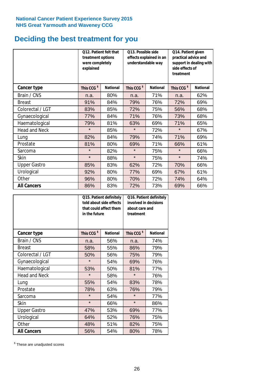# **Deciding the best treatment for you**

|                      | treatment options<br>were completely<br>explained | 012. Patient felt that | O13. Possible side<br>effects explained in an<br>understandable way |                 | Q14. Patient given<br>practical advice and<br>support in dealing with<br>side effects of<br>treatment |                 |  |
|----------------------|---------------------------------------------------|------------------------|---------------------------------------------------------------------|-----------------|-------------------------------------------------------------------------------------------------------|-----------------|--|
| <b>Cancer type</b>   | This CCG <sup>\$</sup>                            | <b>National</b>        | This CCG <sup>\$</sup>                                              | <b>National</b> | This CCG <sup>\$</sup>                                                                                | <b>National</b> |  |
| Brain / CNS          | n.a.                                              | 80%                    | n.a.                                                                | 71%             | n.a.                                                                                                  | 62%             |  |
| <b>Breast</b>        | 91%                                               | 84%                    | 79%                                                                 | 76%             | 72%                                                                                                   | 69%             |  |
| Colorectal / LGT     | 83%                                               | 85%                    | 72%                                                                 | 75%             | 56%                                                                                                   | 68%             |  |
| Gynaecological       | 77%                                               | 84%                    | 71%                                                                 | 76%             | 73%                                                                                                   | 68%             |  |
| Haematological       | 79%                                               | 81%                    | 63%                                                                 | 69%             | 71%                                                                                                   | 65%             |  |
| <b>Head and Neck</b> | $\star$                                           | 85%                    | $\star$                                                             | 72%             | $\star$                                                                                               | 67%             |  |
| Lung                 | 82%                                               | 84%                    | 79%                                                                 | 74%             | 71%                                                                                                   | 69%             |  |
| Prostate             | 81%                                               | 80%                    | 69%                                                                 | 71%             | 66%                                                                                                   | 61%             |  |
| Sarcoma              | $\star$                                           | 82%                    | $\star$                                                             | 75%             | $\star$                                                                                               | 66%             |  |
| Skin                 | $\star$                                           | 88%                    | $\star$                                                             | 75%             | $\star$                                                                                               | 74%             |  |
| <b>Upper Gastro</b>  | 85%                                               | 83%                    | 62%                                                                 | 72%             | 70%                                                                                                   | 66%             |  |
| Urological           | 92%                                               | 80%                    | 77%                                                                 | 69%             | 67%                                                                                                   | 61%             |  |
| Other                | 96%                                               | 80%                    | 70%                                                                 | 72%             | 74%                                                                                                   | 64%             |  |
| <b>All Cancers</b>   | 86%                                               | 83%                    | 72%                                                                 | 73%             | 69%                                                                                                   | 66%             |  |

|                      | in the future          | Q15. Patient definitely<br>told about side effects<br>that could affect them | Q16. Patient definitely<br>involved in decisions<br>about care and<br>treatment |                 |  |
|----------------------|------------------------|------------------------------------------------------------------------------|---------------------------------------------------------------------------------|-----------------|--|
| <b>Cancer type</b>   | This CCG <sup>\$</sup> | <b>National</b>                                                              | This CCG <sup>\$</sup>                                                          | <b>National</b> |  |
| Brain / CNS          | n.a.                   | 56%                                                                          | n.a.                                                                            | 74%             |  |
| <b>Breast</b>        | 58%                    | 55%                                                                          | 86%                                                                             | 79%             |  |
| Colorectal / LGT     | 50%                    | 56%                                                                          | 75%                                                                             | 79%             |  |
| Gynaecological       | $\star$<br>54%         |                                                                              | 69%                                                                             | 76%             |  |
| Haematological       | 50%<br>53%             |                                                                              | 81%                                                                             | 77%             |  |
| <b>Head and Neck</b> | $\star$                | 58%                                                                          | $\star$                                                                         | 76%             |  |
| Lung                 | 55%                    | 54%                                                                          | 83%                                                                             | 78%             |  |
| Prostate             | 78%                    | 63%                                                                          | 76%                                                                             | 79%             |  |
| Sarcoma              | $\star$                | 54%                                                                          | $\star$                                                                         | 77%             |  |
| <b>Skin</b>          | $\star$                | 66%                                                                          | $\star$                                                                         | 86%             |  |
| <b>Upper Gastro</b>  | 47%                    | 53%                                                                          | 69%                                                                             | 77%             |  |
| Urological           | 64%                    | 52%                                                                          | 76%                                                                             | 75%             |  |
| Other                | 48%                    | 51%                                                                          | 82%                                                                             | 75%             |  |
| <b>All Cancers</b>   | 56%                    | 54%                                                                          | 80%                                                                             | 78%             |  |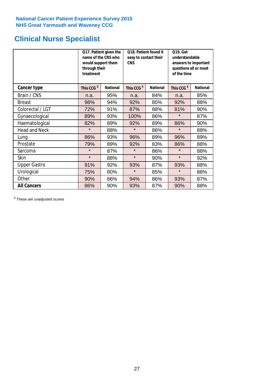# **Clinical Nurse Specialist**

|                      | would support them<br>through their<br>treatment | Q17. Patient given the<br>name of the CNS who | Q18. Patient found it<br>easy to contact their<br><b>CNS</b> |                 | <b>Q19. Get</b><br>understandable<br>answers to important<br>questions all or most<br>of the time |                 |
|----------------------|--------------------------------------------------|-----------------------------------------------|--------------------------------------------------------------|-----------------|---------------------------------------------------------------------------------------------------|-----------------|
| <b>Cancer type</b>   | This CCG <sup>\$</sup>                           | <b>National</b>                               | This CCG <sup>\$</sup>                                       | <b>National</b> | This CCG <sup>\$</sup>                                                                            | <b>National</b> |
| Brain / CNS          | n.a.                                             | 95%                                           | n.a.                                                         | 84%             | n.a.                                                                                              | 85%             |
| <b>Breast</b>        | 98%                                              | 94%                                           | 92%                                                          | 85%             | 92%                                                                                               | 88%             |
| Colorectal / LGT     | 72%                                              | 91%                                           | 87%                                                          | 88%             | 81%                                                                                               | 90%             |
| Gynaecological       | 89%                                              | 93%                                           | 100%                                                         | 86%             | $\star$                                                                                           | 87%             |
| Haematological       | 82%                                              | 89%                                           | 92%                                                          | 89%             | 86%                                                                                               | 90%             |
| <b>Head and Neck</b> | $\star$                                          | 88%                                           | $\star$                                                      | 86%             | $\star$                                                                                           | 88%             |
| Lung                 | 86%                                              | 93%                                           | 96%                                                          | 89%             | 96%                                                                                               | 89%             |
| Prostate             | 79%                                              | 89%                                           | 92%                                                          | 83%             | 86%                                                                                               | 88%             |
| Sarcoma              | $\star$                                          | 87%                                           | $\star$                                                      | 86%             | $\star$                                                                                           | 88%             |
| Skin                 | $\star$                                          | 88%                                           | $\star$                                                      | 90%             | $\star$                                                                                           | 92%             |
| <b>Upper Gastro</b>  | 91%                                              | 92%                                           | 93%                                                          | 87%             | 93%                                                                                               | 88%             |
| Urological           | 75%                                              | 80%                                           | $\star$                                                      | 85%             | $\star$                                                                                           | 88%             |
| Other                | 90%                                              | 86%                                           | 94%                                                          | 86%             | 93%                                                                                               | 87%             |
| <b>All Cancers</b>   | 86%                                              | 90%                                           | 93%                                                          | 87%             | 90%                                                                                               | 88%             |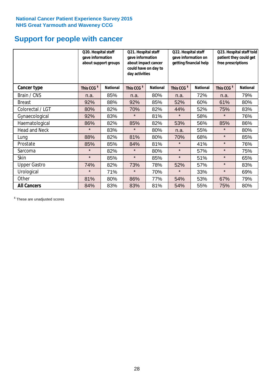# **Support for people with cancer**

|                      | Q20. Hospital staff<br>gave information | about support groups | Q21. Hospital staff<br>gave information<br>about impact cancer<br>could have on day to<br>day activities |                 | Q22. Hospital staff<br>gave information on<br>getting financial help |                 | Q23. Hospital staff told<br>patient they could get<br>free prescriptions |                 |
|----------------------|-----------------------------------------|----------------------|----------------------------------------------------------------------------------------------------------|-----------------|----------------------------------------------------------------------|-----------------|--------------------------------------------------------------------------|-----------------|
| Cancer type          | This CCG <sup>\$</sup>                  | <b>National</b>      | This CCG <sup>\$</sup>                                                                                   | <b>National</b> | This CCG <sup>\$</sup>                                               | <b>National</b> | This CCG <sup>\$</sup>                                                   | <b>National</b> |
| Brain / CNS          | n.a.                                    | 85%                  | n.a.                                                                                                     | 80%             | n.a.                                                                 | 72%             | n.a.                                                                     | 79%             |
| <b>Breast</b>        | 92%                                     | 88%                  | 92%                                                                                                      | 85%             | 52%                                                                  | 60%             | 61%                                                                      | 80%             |
| Colorectal / LGT     | 80%                                     | 82%                  | 70%                                                                                                      | 82%             | 44%                                                                  | 52%             | 75%                                                                      | 83%             |
| Gynaecological       | 92%                                     | 83%                  | $\star$                                                                                                  | 81%             | $\star$                                                              | 58%             | $\star$                                                                  | 76%             |
| Haematological       | 86%                                     | 82%                  | 85%                                                                                                      | 82%             | 53%                                                                  | 56%             | 85%                                                                      | 86%             |
| <b>Head and Neck</b> | $\star$                                 | 83%                  | $\star$                                                                                                  | 80%             | n.a.                                                                 | 55%             | $\star$                                                                  | 80%             |
| Lung                 | 88%                                     | 82%                  | 81%                                                                                                      | 80%             | 70%                                                                  | 68%             | $\star$                                                                  | 85%             |
| Prostate             | 85%                                     | 85%                  | 84%                                                                                                      | 81%             | $\star$                                                              | 41%             | $\star$                                                                  | 76%             |
| Sarcoma              | $\star$                                 | 82%                  | $\star$                                                                                                  | 80%             | $\star$                                                              | 57%             | $\star$                                                                  | 75%             |
| Skin                 | $\star$                                 | 85%                  | $\star$                                                                                                  | 85%             | $\star$                                                              | 51%             | $\star$                                                                  | 65%             |
| <b>Upper Gastro</b>  | 74%                                     | 82%                  | 73%                                                                                                      | 78%             | 52%                                                                  | 57%             | $\star$                                                                  | 83%             |
| Urological           | $\star$                                 | 71%                  | $\star$                                                                                                  | 70%             | $\star$                                                              | 33%             | $\star$                                                                  | 69%             |
| Other                | 81%                                     | 80%                  | 86%                                                                                                      | 77%             | 54%                                                                  | 53%             | 67%                                                                      | 79%             |
| <b>All Cancers</b>   | 84%                                     | 83%                  | 83%                                                                                                      | 81%             | 54%                                                                  | 55%             | 75%                                                                      | 80%             |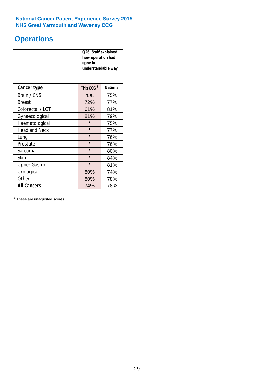# **Operations**

|                      | Q26. Staff explained<br>how operation had<br>gone in<br>understandable way |                 |  |  |  |
|----------------------|----------------------------------------------------------------------------|-----------------|--|--|--|
| <b>Cancer type</b>   | This CCG <sup>\$</sup>                                                     | <b>National</b> |  |  |  |
| Brain / CNS          | n.a.                                                                       | 75%             |  |  |  |
| <b>Breast</b>        | 72%                                                                        | 77%             |  |  |  |
| Colorectal / LGT     | 61%                                                                        | 81%             |  |  |  |
| Gynaecological       | 81%                                                                        | 79%             |  |  |  |
| Haematological       | $\star$                                                                    | 75%             |  |  |  |
| <b>Head and Neck</b> | $\star$                                                                    | 77%             |  |  |  |
| Lung                 | $\star$                                                                    | 76%             |  |  |  |
| Prostate             | $\star$                                                                    | 76%             |  |  |  |
| Sarcoma              | $\star$                                                                    | 80%             |  |  |  |
| Skin                 | $\star$                                                                    | 84%             |  |  |  |
| <b>Upper Gastro</b>  | $\star$                                                                    | 81%             |  |  |  |
| Urological           | 80%                                                                        | 74%             |  |  |  |
| Other                | 80%<br>78%                                                                 |                 |  |  |  |
| <b>All Cancers</b>   | 74%<br>78%                                                                 |                 |  |  |  |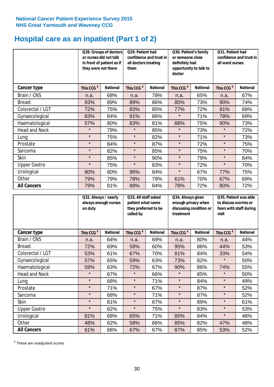# **Hospital care as an inpatient (Part 1 of 2)**

|                      | or nurses did not talk<br>they were not there | Q28. Groups of doctors<br>in front of patient as if | Q29. Patient had<br>confidence and trust in<br>all doctors treating<br>them |                 | Q30. Patient's family<br>or someone close<br>definitely had<br>opportunity to talk to<br>doctor |                 | Q31. Patient had<br>confidence and trust in I<br>all ward nurses |                 |
|----------------------|-----------------------------------------------|-----------------------------------------------------|-----------------------------------------------------------------------------|-----------------|-------------------------------------------------------------------------------------------------|-----------------|------------------------------------------------------------------|-----------------|
| Cancer type          | This CCG <sup>\$</sup>                        | <b>National</b>                                     | This CCG <sup>\$</sup>                                                      | <b>National</b> | This CCG <sup>\$</sup>                                                                          | <b>National</b> | This CCG <sup>\$</sup>                                           | <b>National</b> |
| Brain / CNS          | n.a.                                          | 68%                                                 | n.a.                                                                        | 78%             | n.a.                                                                                            | 65%             | n.a.                                                             | 67%             |
| <b>Breast</b>        | 93%                                           | 89%                                                 | 89%                                                                         | 86%             | 80%                                                                                             | 73%             | 90%                                                              | 74%             |
| Colorectal / LGT     | 72%                                           | 75%                                                 | 83%                                                                         | 85%             | 77%                                                                                             | 72%             | 81%                                                              | 68%             |
| Gynaecological       | 83%                                           | 84%                                                 | 91%                                                                         | 86%             | $\star$                                                                                         | 71%             | 78%                                                              | 69%             |
| Haematological       | 57%                                           | 80%                                                 | 83%                                                                         | 81%             | 88%                                                                                             | 75%             | 90%                                                              | 73%             |
| <b>Head and Neck</b> | $\star$                                       | 79%                                                 | $\star$                                                                     | 85%             | $\star$                                                                                         | 73%             | $\star$                                                          | 72%             |
| Lung                 | $\star$                                       | 75%                                                 | $\star$                                                                     | 82%             | $\star$                                                                                         | 71%             | $\star$                                                          | 73%             |
| Prostate             | $\star$                                       | 84%                                                 | $\star$                                                                     | 87%             | $\star$                                                                                         | 72%             | $\star$                                                          | 75%             |
| Sarcoma              | $\star$                                       | 82%                                                 | $\star$                                                                     | 85%             | $\star$                                                                                         | 75%             | $\star$                                                          | 70%             |
| Skin                 | $\star$                                       | 85%                                                 | $\star$                                                                     | 90%             | $\star$                                                                                         | 79%             | $\star$                                                          | 84%             |
| <b>Upper Gastro</b>  | $\star$                                       | 75%                                                 | $\star$                                                                     | 83%             | $\star$                                                                                         | 72%             | $\star$                                                          | 70%             |
| Urological           | 80%                                           | 80%                                                 | 96%                                                                         | 84%             | $\star$                                                                                         | 67%             | 77%                                                              | 75%             |
| Other                | 79%                                           | 79%                                                 | 78%                                                                         | 79%             | 61%                                                                                             | 70%             | 67%                                                              | 69%             |
| <b>All Cancers</b>   | 79%                                           | 81%                                                 | 88%                                                                         | 84%             | 78%                                                                                             | 72%             | 80%                                                              | 72%             |

|                      | Q32. Always / nearly<br>always enough nurses<br>on duty |                 | Q33. All staff asked<br>patient what name<br>they preferred to be<br>called by |                 | Q34. Always given<br>enough privacy when<br>discussing condition or<br>treatment |                 | Q35. Patient was able<br>to discuss worries or<br>fears with staff during<br>visit |                 |
|----------------------|---------------------------------------------------------|-----------------|--------------------------------------------------------------------------------|-----------------|----------------------------------------------------------------------------------|-----------------|------------------------------------------------------------------------------------|-----------------|
| <b>Cancer type</b>   | This CCG <sup>\$</sup>                                  | <b>National</b> | This CCG <sup>\$</sup>                                                         | <b>National</b> | This CCG <sup>\$</sup>                                                           | <b>National</b> | This CCG <sup>\$</sup>                                                             | <b>National</b> |
| Brain / CNS          | n.a.                                                    | 64%             | n.a.                                                                           | 69%             | n.a.                                                                             | 80%             | n.a.                                                                               | 44%             |
| <b>Breast</b>        | 72%                                                     | 69%             | 58%                                                                            | 60%             | 95%                                                                              | 86%             | 44%                                                                                | 53%             |
| Colorectal / LGT     | 53%                                                     | 61%             | 67%                                                                            | 70%             | 81%                                                                              | 84%             | 33%                                                                                | 54%             |
| Gynaecological       | 57%                                                     | 65%             | 59%                                                                            | 63%             | 73%                                                                              | 82%             | $\star$                                                                            | 50%             |
| Haematological       | 59%                                                     | 63%             | 72%                                                                            | 67%             | 90%                                                                              | 86%             | 74%                                                                                | 55%             |
| <b>Head and Neck</b> | $\star$                                                 | 67%             | $\star$                                                                        | 66%             | $\star$                                                                          | 85%             | $\star$                                                                            | 50%             |
| Lung                 | $\star$                                                 | 68%             | $\star$                                                                        | 71%             | $\star$                                                                          | 84%             | $\star$                                                                            | 49%             |
| Prostate             | $\star$                                                 | 71%             | $\star$                                                                        | 67%             | $\star$                                                                          | 87%             | $\star$                                                                            | 52%             |
| Sarcoma              | $\star$                                                 | 68%             | $\star$                                                                        | 71%             | $\star$                                                                          | 87%             | $\star$                                                                            | 52%             |
| Skin                 | $\star$                                                 | 81%             | $\star$                                                                        | 67%             | $\star$                                                                          | 89%             | $\star$                                                                            | 61%             |
| <b>Upper Gastro</b>  | $\star$                                                 | 62%             | $\star$                                                                        | 75%             | $\star$                                                                          | 83%             | $\star$                                                                            | 53%             |
| Urological           | 81%                                                     | 68%             | 65%                                                                            | 71%             | 85%                                                                              | 84%             | $\star$                                                                            | 46%             |
| Other                | 48%                                                     | 62%             | 58%                                                                            | 66%             | 85%                                                                              | 82%             | 47%                                                                                | 48%             |
| <b>All Cancers</b>   | 61%                                                     | 66%             | 67%                                                                            | 67%             | 87%                                                                              | 85%             | 53%                                                                                | 52%             |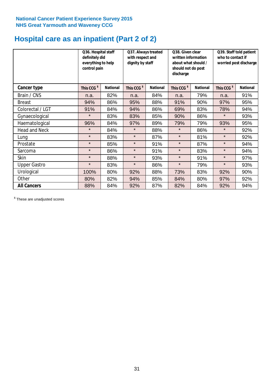# **Hospital care as an inpatient (Part 2 of 2)**

|                      | Q36. Hospital staff<br>definitely did<br>everything to help<br>control pain |                 | Q37. Always treated<br>with respect and<br>dignity by staff |                 | Q38. Given clear<br>written information<br>about what should /<br>should not do post<br>discharge |                 | Q39. Staff told patient<br>who to contact if<br>worried post discharge |                 |  |
|----------------------|-----------------------------------------------------------------------------|-----------------|-------------------------------------------------------------|-----------------|---------------------------------------------------------------------------------------------------|-----------------|------------------------------------------------------------------------|-----------------|--|
| <b>Cancer type</b>   | This CCG <sup>\$</sup>                                                      | <b>National</b> | This CCG <sup>\$</sup>                                      | <b>National</b> | This CCG <sup>\$</sup>                                                                            | <b>National</b> | This CCG <sup>\$</sup>                                                 | <b>National</b> |  |
| Brain / CNS          | n.a.                                                                        | 82%             | n.a.                                                        | 84%             | n.a.                                                                                              | 79%             | n.a.                                                                   | 91%             |  |
| <b>Breast</b>        | 94%                                                                         | 86%             | 95%                                                         | 88%             | 91%                                                                                               | 90%             | 97%                                                                    | 95%             |  |
| Colorectal / LGT     | 91%                                                                         | 84%             | 94%                                                         | 86%             | 69%                                                                                               | 83%             | 78%                                                                    | 94%             |  |
| Gynaecological       | $\star$                                                                     | 83%             | 83%                                                         | 85%             | 90%                                                                                               | 86%             | $\star$                                                                | 93%             |  |
| Haematological       | 96%                                                                         | 84%             | 97%                                                         | 89%             | 79%                                                                                               | 79%             | 93%                                                                    | 95%             |  |
| <b>Head and Neck</b> | $\star$                                                                     | 84%             | $\star$                                                     | 88%             | $\star$                                                                                           | 86%             | $\star$                                                                | 92%             |  |
| Lung                 | $\star$                                                                     | 83%             | $\star$                                                     | 87%             | $\star$                                                                                           | 81%             | $\star$                                                                | 92%             |  |
| Prostate             | $\star$                                                                     | 85%             | $\star$                                                     | 91%             | $\star$                                                                                           | 87%             | $\star$                                                                | 94%             |  |
| Sarcoma              | $\star$                                                                     | 86%             | $\star$                                                     | 91%             | $\star$                                                                                           | 83%             | $\star$                                                                | 94%             |  |
| Skin                 | $\star$                                                                     | 88%             | $\star$                                                     | 93%             | $\star$                                                                                           | 91%             | $\star$                                                                | 97%             |  |
| <b>Upper Gastro</b>  | $\star$                                                                     | 83%             | $\star$                                                     | 86%             | $\star$                                                                                           | 79%             | $\star$                                                                | 93%             |  |
| Urological           | 100%                                                                        | 80%             | 92%                                                         | 88%             | 73%                                                                                               | 83%             | 92%                                                                    | 90%             |  |
| Other                | 80%                                                                         | 82%             | 94%                                                         | 85%             | 84%                                                                                               | 80%             | 97%                                                                    | 92%             |  |
| <b>All Cancers</b>   | 88%                                                                         | 84%             | 92%                                                         | 87%             | 82%                                                                                               | 84%             | 92%                                                                    | 94%             |  |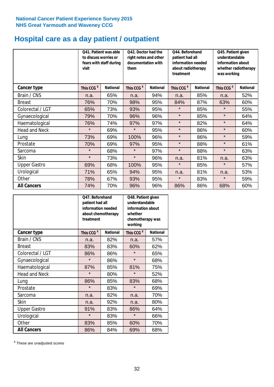# **Hospital care as a day patient / outpatient**

|                      | to discuss worries or<br>visit | Q41. Patient was able<br>fears with staff during | Q42. Doctor had the<br>right notes and other<br>documentation with<br>them |                 | Q44. Beforehand<br>patient had all<br>information needed<br>about radiotherapy<br>treatment |                 | Q45. Patient given<br>understandable<br>information about<br>whether radiotherapy<br>was working |                 |
|----------------------|--------------------------------|--------------------------------------------------|----------------------------------------------------------------------------|-----------------|---------------------------------------------------------------------------------------------|-----------------|--------------------------------------------------------------------------------------------------|-----------------|
| Cancer type          | This CCG <sup>\$</sup>         | <b>National</b>                                  | This CCG <sup>\$</sup>                                                     | <b>National</b> | This CCG <sup>\$</sup>                                                                      | <b>National</b> | This CCG <sup>\$</sup>                                                                           | <b>National</b> |
| Brain / CNS          | n.a.                           | 65%                                              | n.a.                                                                       | 94%             | n.a.                                                                                        | 85%             | n.a.                                                                                             | 52%             |
| <b>Breast</b>        | 76%                            | 70%                                              | 98%                                                                        | 95%             | 84%                                                                                         | 87%             | 63%                                                                                              | 60%             |
| Colorectal / LGT     | 65%                            | 73%                                              | 93%                                                                        | 95%             | $\star$                                                                                     | 85%             | $\star$                                                                                          | 55%             |
| Gynaecological       | 79%                            | 70%                                              | 96%                                                                        | 96%             | $\star$                                                                                     | 85%             | $\star$                                                                                          | 64%             |
| Haematological       | 76%                            | 74%                                              | 97%                                                                        | 97%             | $\star$                                                                                     | 82%             | $\star$                                                                                          | 64%             |
| <b>Head and Neck</b> | $\star$                        | 69%                                              | $\star$                                                                    | 95%             | $\star$                                                                                     | 86%             | $\star$                                                                                          | 60%             |
| Lung                 | 73%                            | 69%                                              | 100%                                                                       | 96%             | $\star$                                                                                     | 86%             | $\star$                                                                                          | 59%             |
| Prostate             | 70%                            | 69%                                              | 97%                                                                        | 95%             | $\star$                                                                                     | 88%             | $\star$                                                                                          | 61%             |
| Sarcoma              | $\star$                        | 68%                                              | $\star$                                                                    | 97%             | $\star$                                                                                     | 88%             | $\star$                                                                                          | 63%             |
| Skin                 | $\star$                        | 73%                                              | $\star$                                                                    | 96%             | n.a.                                                                                        | 81%             | n.a.                                                                                             | 63%             |
| <b>Upper Gastro</b>  | 69%                            | 68%                                              | 100%                                                                       | 95%             | $\star$                                                                                     | 85%             | $\star$                                                                                          | 57%             |
| Urological           | 71%                            | 65%                                              | 94%                                                                        | 95%             | n.a.                                                                                        | 81%             | n.a.                                                                                             | 53%             |
| Other                | 78%                            | 67%                                              | 93%                                                                        | 95%             | $\star$                                                                                     | 83%             | $\star$                                                                                          | 59%             |
| <b>All Cancers</b>   | 74%                            | 70%                                              | 96%                                                                        | 96%             | 86%                                                                                         | 86%             | 68%                                                                                              | 60%             |

|                      | Q47. Beforehand<br>patient had all<br>information needed<br>about chemotherapy<br>treatment |                 | Q48. Patient given<br>understandable<br>information about<br>whether<br>chemotherapy was<br>working |                 |  |
|----------------------|---------------------------------------------------------------------------------------------|-----------------|-----------------------------------------------------------------------------------------------------|-----------------|--|
| <b>Cancer type</b>   | This CCG <sup>\$</sup>                                                                      | <b>National</b> | This CCG <sup>\$</sup>                                                                              | <b>National</b> |  |
| Brain / CNS          | n.a.                                                                                        | 82%             | n.a.                                                                                                | 57%             |  |
| <b>Breast</b>        | 83%                                                                                         | 83%             | 60%                                                                                                 | 62%             |  |
| Colorectal / LGT     | 86%                                                                                         | 86%             | $\star$                                                                                             | 65%             |  |
| Gynaecological       | $\star$                                                                                     | 86%             | $\star$                                                                                             | 68%             |  |
| Haematological       | 87%                                                                                         | 85%             |                                                                                                     | 75%             |  |
| <b>Head and Neck</b> | $\star$                                                                                     | 80%             | $\star$                                                                                             | 52%             |  |
| Lung                 | 86%                                                                                         | 85%             | 83%                                                                                                 | 68%             |  |
| Prostate             | $\star$                                                                                     | 83%             | $\star$                                                                                             | 69%             |  |
| Sarcoma              | n.a.                                                                                        | 82%             | n.a.                                                                                                | 70%             |  |
| <b>Skin</b>          | n.a.                                                                                        | 92%             | n.a.                                                                                                | 80%             |  |
| <b>Upper Gastro</b>  | 91%                                                                                         | 83%             | 86%                                                                                                 | 64%             |  |
| Urological           | $\star$                                                                                     | 83%             | $\star$                                                                                             | 66%             |  |
| Other                | 83%                                                                                         | 85%             | 60%                                                                                                 | 70%             |  |
| <b>All Cancers</b>   | 86%                                                                                         | 84%             | 69%                                                                                                 | 68%             |  |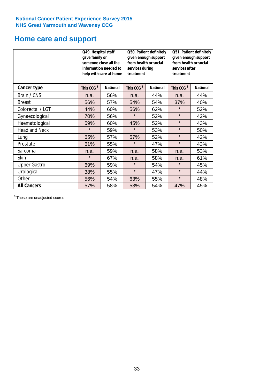# **Home care and support**

|                      | Q49. Hospital staff<br>gave family or | someone close all the<br>information needed to<br>help with care at home | Q50. Patient definitely<br>given enough support<br>from health or social<br>services during<br>treatment |                 | Q51. Patient definitely<br>given enough support<br>from health or social<br>services after<br>treatment |                 |
|----------------------|---------------------------------------|--------------------------------------------------------------------------|----------------------------------------------------------------------------------------------------------|-----------------|---------------------------------------------------------------------------------------------------------|-----------------|
| <b>Cancer type</b>   | This CCG <sup>\$</sup>                | <b>National</b>                                                          | This CCG <sup>\$</sup>                                                                                   | <b>National</b> | This CCG <sup>\$</sup>                                                                                  | <b>National</b> |
| Brain / CNS          | n.a.                                  | 56%                                                                      | n.a.                                                                                                     | 44%             | n.a.                                                                                                    | 44%             |
| <b>Breast</b>        | 56%                                   | 57%                                                                      | 54%                                                                                                      | 54%             | 37%                                                                                                     | 40%             |
| Colorectal / LGT     | 44%                                   | 60%                                                                      | 56%                                                                                                      | 62%             | $\star$                                                                                                 | 52%             |
| Gynaecological       | 70%                                   | 56%                                                                      | $\star$                                                                                                  | 52%             | $\star$                                                                                                 | 42%             |
| Haematological       | 59%                                   | 60%                                                                      | 45%                                                                                                      | 52%             | $\star$                                                                                                 | 43%             |
| <b>Head and Neck</b> | $\star$                               | 59%                                                                      | $\star$                                                                                                  | 53%             | $\star$                                                                                                 | 50%             |
| Lung                 | 65%                                   | 57%                                                                      | 57%                                                                                                      | 52%             | $\star$                                                                                                 | 42%             |
| Prostate             | 61%                                   | 55%                                                                      | $\star$                                                                                                  | 47%             | $\star$                                                                                                 | 43%             |
| Sarcoma              | n.a.                                  | 59%                                                                      | n.a.                                                                                                     | 58%             | n.a.                                                                                                    | 53%             |
| Skin                 | $\star$                               | 67%                                                                      | n.a.                                                                                                     | 58%             | n.a.                                                                                                    | 61%             |
| <b>Upper Gastro</b>  | 69%                                   | 59%                                                                      | $\star$                                                                                                  | 54%             | $\star$                                                                                                 | 45%             |
| Urological           | 38%                                   | 55%                                                                      | $\star$                                                                                                  | 47%             | $\star$                                                                                                 | 44%             |
| Other                | 56%                                   | 54%                                                                      | 63%                                                                                                      | 55%             | $\star$                                                                                                 | 48%             |
| <b>All Cancers</b>   | 57%                                   | 58%                                                                      | 53%                                                                                                      | 54%             | 47%                                                                                                     | 45%             |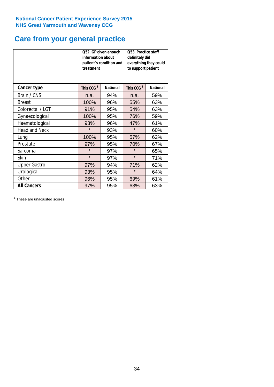# **Care from your general practice**

|                      | information about<br>treatment | Q52. GP given enough<br>patient's condition and | <b>O53. Practice staff</b><br>definitely did<br>everything they could<br>to support patient |                 |  |
|----------------------|--------------------------------|-------------------------------------------------|---------------------------------------------------------------------------------------------|-----------------|--|
| <b>Cancer type</b>   | This CCG <sup>\$</sup>         | <b>National</b>                                 | This CCG <sup>\$</sup>                                                                      | <b>National</b> |  |
| Brain / CNS          | n.a.                           | 94%                                             | n.a.                                                                                        | 59%             |  |
| <b>Breast</b>        | 100%                           | 96%                                             | 55%                                                                                         | 63%             |  |
| Colorectal / LGT     | 91%                            | 95%                                             | 54%                                                                                         | 63%             |  |
| Gynaecological       | 100%                           | 95%                                             | 76%                                                                                         | 59%             |  |
| Haematological       | 93%                            | 96%                                             | 47%                                                                                         | 61%             |  |
| <b>Head and Neck</b> | $\star$                        | 93%                                             | $\star$                                                                                     | 60%             |  |
| Lung                 | 100%                           | 95%                                             | 57%                                                                                         | 62%             |  |
| Prostate             | 97%                            | 95%                                             | 70%                                                                                         | 67%             |  |
| Sarcoma              | $\star$                        | 97%                                             | $\star$                                                                                     | 65%             |  |
| <b>Skin</b>          | $\star$                        | 97%                                             | $\star$                                                                                     | 71%             |  |
| <b>Upper Gastro</b>  | 97%                            | 94%                                             | 71%                                                                                         | 62%             |  |
| Urological           | 93%                            | 95%                                             | $\star$                                                                                     | 64%             |  |
| Other                | 96%                            | 95%                                             | 69%                                                                                         | 61%             |  |
| <b>All Cancers</b>   | 97%                            | 95%                                             | 63%                                                                                         | 63%             |  |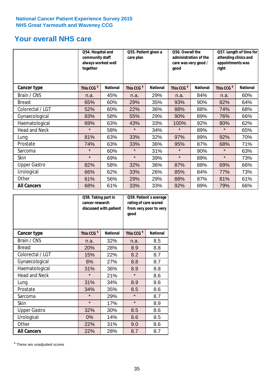# **Your overall NHS care**

|                      | Q54. Hospital and<br>community staff<br>always worked well<br>together |                 | Q55. Patient given a<br>care plan |                 | Q56. Overall the<br>care was very good /<br>qood | administration of the | Q57. Length of time for<br>attending clinics and<br>appointments was<br>right |                 |
|----------------------|------------------------------------------------------------------------|-----------------|-----------------------------------|-----------------|--------------------------------------------------|-----------------------|-------------------------------------------------------------------------------|-----------------|
| <b>Cancer type</b>   | This CCG <sup>\$</sup>                                                 | <b>National</b> | This CCG <sup>\$</sup>            | <b>National</b> | This CCG <sup>\$</sup>                           | <b>National</b>       | This CCG <sup>\$</sup>                                                        | <b>National</b> |
| Brain / CNS          | n.a.                                                                   | 45%             | n.a.                              | 29%             | n.a.                                             | 84%                   | n.a.                                                                          | 60%             |
| <b>Breast</b>        | 65%                                                                    | 60%             | 29%                               | 35%             | 93%                                              | 90%                   | 82%                                                                           | 64%             |
| Colorectal / LGT     | 52%                                                                    | 60%             | 22%                               | 36%             | 88%                                              | 88%                   | 74%                                                                           | 68%             |
| Gynaecological       | 83%                                                                    | 58%             | 55%                               | 29%             | 90%                                              | 89%                   | 76%                                                                           | 66%             |
| Haematological       | 69%                                                                    | 63%             | 43%                               | 33%             | 100%                                             | 92%                   | 80%                                                                           | 62%             |
| <b>Head and Neck</b> | $\star$                                                                | 58%             | $\star$                           | 34%             | $\star$                                          | 89%                   | $\star$                                                                       | 65%             |
| Lung                 | 81%                                                                    | 63%             | 33%                               | 32%             | 97%                                              | 89%                   | 92%                                                                           | 70%             |
| Prostate             | 74%                                                                    | 63%             | 33%                               | 36%             | 95%                                              | 87%                   | 68%                                                                           | 71%             |
| Sarcoma              | $\star$                                                                | 60%             | $\star$                           | 31%             | $\star$                                          | 90%                   | $\star$                                                                       | 63%             |
| Skin                 | $\star$                                                                | 69%             | $\star$                           | 39%             | $\star$                                          | 89%                   | $\star$                                                                       | 73%             |
| <b>Upper Gastro</b>  | 82%                                                                    | 58%             | 32%                               | 36%             | 87%                                              | 88%                   | 69%                                                                           | 66%             |
| Urological           | 66%                                                                    | 62%             | 33%                               | 26%             | 85%                                              | 84%                   | 77%                                                                           | 73%             |
| Other                | 61%                                                                    | 56%             | 29%                               | 29%             | 88%                                              | 87%                   | 81%                                                                           | 61%             |
| <b>All Cancers</b>   | 68%                                                                    | 61%             | 33%                               | 33%             | 92%                                              | 89%                   | 79%                                                                           | 66%             |

|                      | Q58. Taking part in<br>cancer research | discussed with patient | Q59. Patient's average<br>rating of care scored<br>from very poor to very<br>good |                 |  |
|----------------------|----------------------------------------|------------------------|-----------------------------------------------------------------------------------|-----------------|--|
| <b>Cancer type</b>   | This CCG <sup>\$</sup>                 | <b>National</b>        | This CCG <sup>\$</sup>                                                            | <b>National</b> |  |
| Brain / CNS          | n.a.                                   | 32%                    | n.a.                                                                              | 8.5             |  |
| <b>Breast</b>        | 20%                                    | 28%                    | 8.9                                                                               | 8.8             |  |
| Colorectal / LGT     | 15%                                    | 22%                    | 8.2                                                                               | 8.7             |  |
| Gynaecological       | 8%                                     | 27%                    | 8.8                                                                               | 8.7             |  |
| Haematological       | 31%                                    | 36%                    | 8.9                                                                               | 8.8             |  |
| <b>Head and Neck</b> | $\star$                                | 21%                    | $\star$                                                                           | 8.6             |  |
| Lung                 | 31%                                    | 34%                    | 8.9                                                                               | 8.6             |  |
| Prostate             | 34%                                    | 35%                    | 8.5                                                                               | 8.6             |  |
| Sarcoma              | $\star$                                | 29%                    | $\star$                                                                           | 8.7             |  |
| Skin                 | $\star$                                | 17%                    | $\star$                                                                           | 8.9             |  |
| <b>Upper Gastro</b>  | 32%                                    | 30%                    | 8.5                                                                               | 8.6             |  |
| Urological           | 0%                                     | 14%                    | 8.6                                                                               | 8.5             |  |
| Other                | 22%                                    | 31%                    | 9.0                                                                               | 8.6             |  |
| <b>All Cancers</b>   | 22%                                    | 28%                    | 8.7                                                                               | 8.7             |  |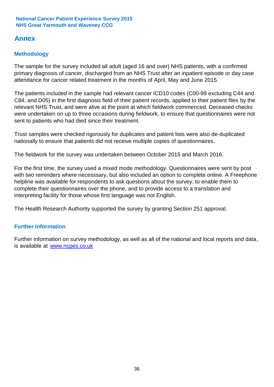# **Annex**

# **Methodology**

The sample for the survey included all adult (aged 16 and over) NHS patients, with a confirmed primary diagnosis of cancer, discharged from an NHS Trust after an inpatient episode or day case attendance for cancer related treatment in the months of April, May and June 2015.

The patients included in the sample had relevant cancer ICD10 codes (C00-99 excluding C44 and C84, and D05) in the first diagnosis field of their patient records, applied to their patient files by the relevant NHS Trust, and were alive at the point at which fieldwork commenced. Deceased checks were undertaken on up to three occasions during fieldwork, to ensure that questionnaires were not sent to patients who had died since their treatment.

Trust samples were checked rigorously for duplicates and patient lists were also de-duplicated nationally to ensure that patients did not receive multiple copies of questionnaires.

The fieldwork for the survey was undertaken between October 2015 and March 2016.

For the first time, the survey used a mixed mode methodology. Questionnaires were sent by post with two reminders where necesssary, but also included an option to complete online. A Freephone helpline was available for respondents to ask questions about the survey, to enable them to complete their questionnaires over the phone, and to provide access to a translation and interpreting facility for those whose first language was not English.

The Health Research Authority supported the survey by granting Section 251 approval.

# **Further information**

Further information on survey methodology, as well as all of the national and local reports and data, is available at www.ncpes.co.uk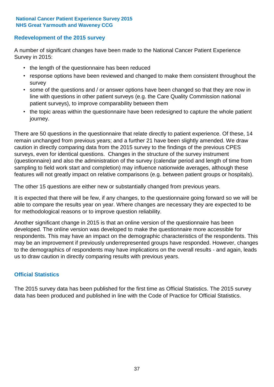# **Redevelopment of the 2015 survey**

A number of significant changes have been made to the National Cancer Patient Experience Survey in 2015:

- the length of the questionnaire has been reduced
- response options have been reviewed and changed to make them consistent throughout the survey
- some of the questions and / or answer options have been changed so that they are now in line with questions in other patient surveys (e.g. the Care Quality Commission national patient surveys), to improve comparability between them
- the topic areas within the questionnaire have been redesigned to capture the whole patient journey.

There are 50 questions in the questionnaire that relate directly to patient experience. Of these, 14 remain unchanged from previous years; and a further 21 have been slightly amended. We draw caution in directly comparing data from the 2015 survey to the findings of the previous CPES surveys, even for identical questions. Changes in the structure of the survey instrument (questionnaire) and also the administration of the survey (calendar period and length of time from sampling to field work start and completion) may influence nationwide averages, although these features will not greatly impact on relative comparisons (e.g. between patient groups or hospitals).

The other 15 questions are either new or substantially changed from previous years.

It is expected that there will be few, if any changes, to the questionnaire going forward so we will be able to compare the results year on year. Where changes are necessary they are expected to be for methodological reasons or to improve question reliability.

Another significant change in 2015 is that an online version of the questionnaire has been developed. The online version was developed to make the questionnaire more accessible for respondents. This may have an impact on the demographic characteristics of the respondents. This may be an improvement if previously underrepresented groups have responded. However, changes to the demographics of respondents may have implications on the overall results - and again, leads us to draw caution in directly comparing results with previous years.

# **Official Statistics**

The 2015 survey data has been published for the first time as Official Statistics. The 2015 survey data has been produced and published in line with the Code of Practice for Official Statistics.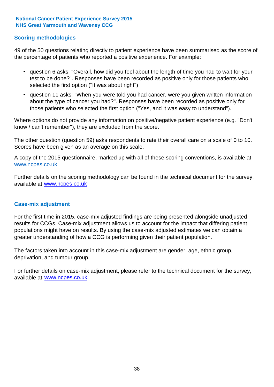# **Scoring methodologies**

49 of the 50 questions relating directly to patient experience have been summarised as the score of the percentage of patients who reported a positive experience. For example:

- question 6 asks: "Overall, how did you feel about the length of time you had to wait for your test to be done?". Responses have been recorded as positive only for those patients who selected the first option ("It was about right")
- question 11 asks: "When you were told you had cancer, were you given written information about the type of cancer you had?". Responses have been recorded as positive only for those patients who selected the first option ("Yes, and it was easy to understand").

Where options do not provide any information on positive/negative patient experience (e.g. "Don't know / can't remember"), they are excluded from the score.

The other question (question 59) asks respondents to rate their overall care on a scale of 0 to 10. Scores have been given as an average on this scale.

A copy of the 2015 questionnaire, marked up with all of these scoring conventions, is available at www.ncpes.co.uk

Further details on the scoring methodology can be found in the technical document for the survey, available at <u>www.ncpes.co.uk</u>

### **Case-mix adjustment**

For the first time in 2015, case-mix adjusted findings are being presented alongside unadjusted results for CCGs. Case-mix adjustment allows us to account for the impact that differing patient populations might have on results. By using the case-mix adjusted estimates we can obtain a greater understanding of how a CCG is performing given their patient population.

The factors taken into account in this case-mix adjustment are gender, age, ethnic group, deprivation, and tumour group.

For further details on case-mix adjustment, please refer to the technical document for the survey, available at www.ncpes.co.uk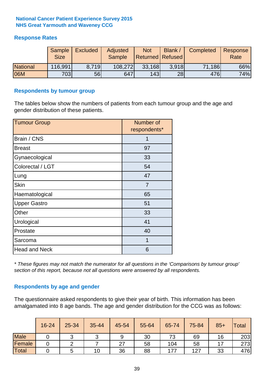# **Response Rates**

|                 | <b>Sample</b><br><b>Size</b> | <b>Excluded</b> | Adjusted<br><b>Sample</b> | <b>Not</b><br><b>Returned   Refused  </b> | Blank | Completed | Response<br>Rate |
|-----------------|------------------------------|-----------------|---------------------------|-------------------------------------------|-------|-----------|------------------|
| <b>National</b> | 116,991                      | 8.719           | 108,272                   | 33,168                                    | 3.918 | 71,186    | 66%              |
| 06M             | 703                          | 56l             | 647                       | 143                                       | 28    | 476       | 74%              |

### **Respondents by tumour group**

The tables below show the numbers of patients from each tumour group and the age and gender distribution of these patients.

| <b>Tumour Group</b>  | Number of<br>respondents* |  |  |
|----------------------|---------------------------|--|--|
| Brain / CNS          | 1                         |  |  |
| <b>Breast</b>        | 97                        |  |  |
| Gynaecological       | 33                        |  |  |
| Colorectal / LGT     | 54                        |  |  |
| Lung                 | 47                        |  |  |
| <b>Skin</b>          | 7                         |  |  |
| Haematological       | 65                        |  |  |
| <b>Upper Gastro</b>  | 51                        |  |  |
| Other                | 33                        |  |  |
| Urological           | 41                        |  |  |
| Prostate             | 40                        |  |  |
| Sarcoma              | 1                         |  |  |
| <b>Head and Neck</b> | 6                         |  |  |

*\* These figures may not match the numerator for all questions in the 'Comparisons by tumour group' section of this report, because not all questions were answered by all respondents.*

# **Respondents by age and gender**

The questionnaire asked respondents to give their year of birth. This information has been amalgamated into 8 age bands. The age and gender distribution for the CCG was as follows:

|             | 16-24 | 25-34 | 35-44 | 45-54 | 55-64 | 65-74 | 75-84 | $85+$ | <b>Total</b> |
|-------------|-------|-------|-------|-------|-------|-------|-------|-------|--------------|
| <b>Male</b> |       | ັ     | ັ     | 9     | 30    | 73    | 69    | 16    | 203          |
| Female      |       |       |       | 27    | 58    | 104   | 58    |       | 273          |
| Total       |       |       | 10    | 36    | 88    | 177   | 127   | 33    | 476          |